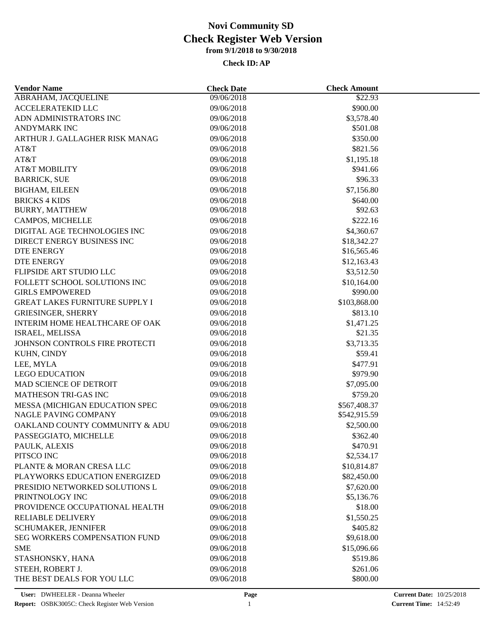| <b>Vendor Name</b>                    | <b>Check Date</b>        | <b>Check Amount</b> |  |
|---------------------------------------|--------------------------|---------------------|--|
| <b>ABRAHAM, JACQUELINE</b>            | 09/06/2018               | \$22.93             |  |
| <b>ACCELERATEKID LLC</b>              | 09/06/2018               | \$900.00            |  |
| ADN ADMINISTRATORS INC                | 09/06/2018               | \$3,578.40          |  |
| <b>ANDYMARK INC</b>                   | 09/06/2018               | \$501.08            |  |
| ARTHUR J. GALLAGHER RISK MANAG        | 09/06/2018               | \$350.00            |  |
| AT&T                                  | 09/06/2018               | \$821.56            |  |
| AT&T                                  | 09/06/2018               | \$1,195.18          |  |
| <b>AT&amp;T MOBILITY</b>              | 09/06/2018               | \$941.66            |  |
| <b>BARRICK, SUE</b>                   | 09/06/2018               | \$96.33             |  |
| <b>BIGHAM, EILEEN</b>                 | 09/06/2018               | \$7,156.80          |  |
| <b>BRICKS 4 KIDS</b>                  | 09/06/2018               | \$640.00            |  |
| <b>BURRY, MATTHEW</b>                 | 09/06/2018               | \$92.63             |  |
| CAMPOS, MICHELLE                      | 09/06/2018               | \$222.16            |  |
| DIGITAL AGE TECHNOLOGIES INC          | 09/06/2018               | \$4,360.67          |  |
| DIRECT ENERGY BUSINESS INC            | 09/06/2018               | \$18,342.27         |  |
| DTE ENERGY                            | 09/06/2018               | \$16,565.46         |  |
| DTE ENERGY                            | 09/06/2018               | \$12,163.43         |  |
| FLIPSIDE ART STUDIO LLC               | 09/06/2018               | \$3,512.50          |  |
| FOLLETT SCHOOL SOLUTIONS INC          | 09/06/2018               | \$10,164.00         |  |
| <b>GIRLS EMPOWERED</b>                | 09/06/2018               | \$990.00            |  |
| <b>GREAT LAKES FURNITURE SUPPLY I</b> | 09/06/2018               | \$103,868.00        |  |
| <b>GRIESINGER, SHERRY</b>             | 09/06/2018               | \$813.10            |  |
| INTERIM HOME HEALTHCARE OF OAK        |                          | \$1,471.25          |  |
| ISRAEL, MELISSA                       | 09/06/2018<br>09/06/2018 | \$21.35             |  |
| JOHNSON CONTROLS FIRE PROTECTI        | 09/06/2018               | \$3,713.35          |  |
|                                       |                          | \$59.41             |  |
| KUHN, CINDY                           | 09/06/2018               |                     |  |
| LEE, MYLA                             | 09/06/2018               | \$477.91            |  |
| <b>LEGO EDUCATION</b>                 | 09/06/2018               | \$979.90            |  |
| MAD SCIENCE OF DETROIT                | 09/06/2018               | \$7,095.00          |  |
| MATHESON TRI-GAS INC                  | 09/06/2018               | \$759.20            |  |
| MESSA (MICHIGAN EDUCATION SPEC        | 09/06/2018               | \$567,408.37        |  |
| NAGLE PAVING COMPANY                  | 09/06/2018               | \$542,915.59        |  |
| OAKLAND COUNTY COMMUNITY & ADU        | 09/06/2018               | \$2,500.00          |  |
| PASSEGGIATO, MICHELLE                 | 09/06/2018               | \$362.40            |  |
| PAULK, ALEXIS                         | 09/06/2018               | \$470.91            |  |
| PITSCO INC                            | 09/06/2018               | \$2,534.17          |  |
| PLANTE & MORAN CRESA LLC              | 09/06/2018               | \$10,814.87         |  |
| PLAYWORKS EDUCATION ENERGIZED         | 09/06/2018               | \$82,450.00         |  |
| PRESIDIO NETWORKED SOLUTIONS L        | 09/06/2018               | \$7,620.00          |  |
| PRINTNOLOGY INC                       | 09/06/2018               | \$5,136.76          |  |
| PROVIDENCE OCCUPATIONAL HEALTH        | 09/06/2018               | \$18.00             |  |
| <b>RELIABLE DELIVERY</b>              | 09/06/2018               | \$1,550.25          |  |
| SCHUMAKER, JENNIFER                   | 09/06/2018               | \$405.82            |  |
| <b>SEG WORKERS COMPENSATION FUND</b>  | 09/06/2018               | \$9,618.00          |  |
| <b>SME</b>                            | 09/06/2018               | \$15,096.66         |  |
| STASHONSKY, HANA                      | 09/06/2018               | \$519.86            |  |
| STEEH, ROBERT J.                      | 09/06/2018               | \$261.06            |  |
| THE BEST DEALS FOR YOU LLC            | 09/06/2018               | \$800.00            |  |
|                                       |                          |                     |  |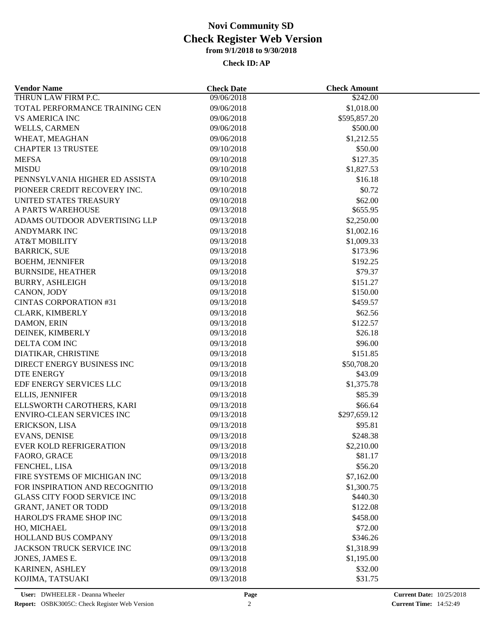| <b>Vendor Name</b>                 | <b>Check Date</b> | <b>Check Amount</b> |  |
|------------------------------------|-------------------|---------------------|--|
| THRUN LAW FIRM P.C.                | 09/06/2018        | \$242.00            |  |
| TOTAL PERFORMANCE TRAINING CEN     | 09/06/2018        | \$1,018.00          |  |
| <b>VS AMERICA INC</b>              | 09/06/2018        | \$595,857.20        |  |
| WELLS, CARMEN                      | 09/06/2018        | \$500.00            |  |
| WHEAT, MEAGHAN                     | 09/06/2018        | \$1,212.55          |  |
| <b>CHAPTER 13 TRUSTEE</b>          | 09/10/2018        | \$50.00             |  |
| <b>MEFSA</b>                       | 09/10/2018        | \$127.35            |  |
| <b>MISDU</b>                       | 09/10/2018        | \$1,827.53          |  |
| PENNSYLVANIA HIGHER ED ASSISTA     | 09/10/2018        | \$16.18             |  |
| PIONEER CREDIT RECOVERY INC.       | 09/10/2018        | \$0.72              |  |
| UNITED STATES TREASURY             | 09/10/2018        | \$62.00             |  |
| A PARTS WAREHOUSE                  | 09/13/2018        | \$655.95            |  |
| ADAMS OUTDOOR ADVERTISING LLP      | 09/13/2018        | \$2,250.00          |  |
| <b>ANDYMARK INC</b>                | 09/13/2018        | \$1,002.16          |  |
| <b>AT&amp;T MOBILITY</b>           | 09/13/2018        | \$1,009.33          |  |
| <b>BARRICK, SUE</b>                | 09/13/2018        | \$173.96            |  |
| <b>BOEHM, JENNIFER</b>             | 09/13/2018        | \$192.25            |  |
| <b>BURNSIDE, HEATHER</b>           | 09/13/2018        | \$79.37             |  |
| <b>BURRY, ASHLEIGH</b>             | 09/13/2018        | \$151.27            |  |
| CANON, JODY                        | 09/13/2018        | \$150.00            |  |
| <b>CINTAS CORPORATION #31</b>      | 09/13/2018        | \$459.57            |  |
| <b>CLARK, KIMBERLY</b>             | 09/13/2018        | \$62.56             |  |
|                                    | 09/13/2018        | \$122.57            |  |
| DAMON, ERIN                        | 09/13/2018        | \$26.18             |  |
| DEINEK, KIMBERLY                   |                   | \$96.00             |  |
| DELTA COM INC                      | 09/13/2018        |                     |  |
| DIATIKAR, CHRISTINE                | 09/13/2018        | \$151.85            |  |
| DIRECT ENERGY BUSINESS INC         | 09/13/2018        | \$50,708.20         |  |
| <b>DTE ENERGY</b>                  | 09/13/2018        | \$43.09             |  |
| EDF ENERGY SERVICES LLC            | 09/13/2018        | \$1,375.78          |  |
| ELLIS, JENNIFER                    | 09/13/2018        | \$85.39             |  |
| ELLSWORTH CAROTHERS, KARI          | 09/13/2018        | \$66.64             |  |
| ENVIRO-CLEAN SERVICES INC          | 09/13/2018        | \$297,659.12        |  |
| ERICKSON, LISA                     | 09/13/2018        | \$95.81             |  |
| <b>EVANS, DENISE</b>               | 09/13/2018        | \$248.38            |  |
| <b>EVER KOLD REFRIGERATION</b>     | 09/13/2018        | \$2,210.00          |  |
| FAORO, GRACE                       | 09/13/2018        | \$81.17             |  |
| FENCHEL, LISA                      | 09/13/2018        | \$56.20             |  |
| FIRE SYSTEMS OF MICHIGAN INC       | 09/13/2018        | \$7,162.00          |  |
| FOR INSPIRATION AND RECOGNITIO     | 09/13/2018        | \$1,300.75          |  |
| <b>GLASS CITY FOOD SERVICE INC</b> | 09/13/2018        | \$440.30            |  |
| <b>GRANT, JANET OR TODD</b>        | 09/13/2018        | \$122.08            |  |
| HAROLD'S FRAME SHOP INC            | 09/13/2018        | \$458.00            |  |
| HO, MICHAEL                        | 09/13/2018        | \$72.00             |  |
| <b>HOLLAND BUS COMPANY</b>         | 09/13/2018        | \$346.26            |  |
| JACKSON TRUCK SERVICE INC          | 09/13/2018        | \$1,318.99          |  |
| JONES, JAMES E.                    | 09/13/2018        | \$1,195.00          |  |
| KARINEN, ASHLEY                    | 09/13/2018        | \$32.00             |  |
| KOJIMA, TATSUAKI                   | 09/13/2018        | \$31.75             |  |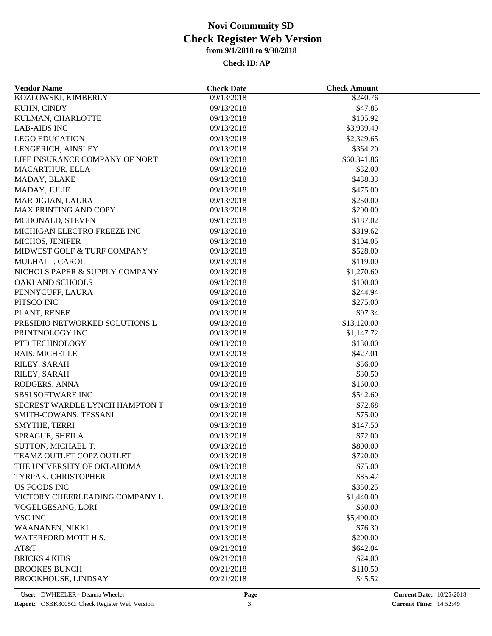| <b>Vendor Name</b>             | <b>Check Date</b>        | <b>Check Amount</b> |  |
|--------------------------------|--------------------------|---------------------|--|
| KOZLOWSKI, KIMBERLY            | 09/13/2018               | \$240.76            |  |
| KUHN, CINDY                    | 09/13/2018               | \$47.85             |  |
| KULMAN, CHARLOTTE              | 09/13/2018               | \$105.92            |  |
| <b>LAB-AIDS INC</b>            | 09/13/2018               | \$3,939.49          |  |
| <b>LEGO EDUCATION</b>          | 09/13/2018               | \$2,329.65          |  |
| LENGERICH, AINSLEY             | 09/13/2018               | \$364.20            |  |
| LIFE INSURANCE COMPANY OF NORT | 09/13/2018               | \$60,341.86         |  |
| MACARTHUR, ELLA                | 09/13/2018               | \$32.00             |  |
| MADAY, BLAKE                   | 09/13/2018               | \$438.33            |  |
| MADAY, JULIE                   | 09/13/2018               | \$475.00            |  |
| MARDIGIAN, LAURA               | 09/13/2018               | \$250.00            |  |
| <b>MAX PRINTING AND COPY</b>   | 09/13/2018               | \$200.00            |  |
| MCDONALD, STEVEN               | 09/13/2018               | \$187.02            |  |
| MICHIGAN ELECTRO FREEZE INC    | 09/13/2018               | \$319.62            |  |
| MICHOS, JENIFER                | 09/13/2018               | \$104.05            |  |
| MIDWEST GOLF & TURF COMPANY    | 09/13/2018               | \$528.00            |  |
| MULHALL, CAROL                 | 09/13/2018               | \$119.00            |  |
| NICHOLS PAPER & SUPPLY COMPANY | 09/13/2018               | \$1,270.60          |  |
| <b>OAKLAND SCHOOLS</b>         | 09/13/2018               | \$100.00            |  |
| PENNYCUFF, LAURA               | 09/13/2018               | \$244.94            |  |
| PITSCO INC                     | 09/13/2018               | \$275.00            |  |
| PLANT, RENEE                   | 09/13/2018               | \$97.34             |  |
| PRESIDIO NETWORKED SOLUTIONS L | 09/13/2018               | \$13,120.00         |  |
| PRINTNOLOGY INC                | 09/13/2018               | \$1,147.72          |  |
| PTD TECHNOLOGY                 | 09/13/2018               | \$130.00            |  |
| RAIS, MICHELLE                 | 09/13/2018               | \$427.01            |  |
|                                |                          | \$56.00             |  |
| RILEY, SARAH<br>RILEY, SARAH   | 09/13/2018<br>09/13/2018 | \$30.50             |  |
| RODGERS, ANNA                  | 09/13/2018               | \$160.00            |  |
|                                |                          |                     |  |
| <b>SBSI SOFTWARE INC</b>       | 09/13/2018               | \$542.60            |  |
| SECREST WARDLE LYNCH HAMPTON T | 09/13/2018               | \$72.68             |  |
| SMITH-COWANS, TESSANI          | 09/13/2018               | \$75.00             |  |
| SMYTHE, TERRI                  | 09/13/2018               | \$147.50            |  |
| SPRAGUE, SHEILA                | 09/13/2018               | \$72.00             |  |
| SUTTON, MICHAEL T.             | 09/13/2018               | \$800.00            |  |
| TEAMZ OUTLET COPZ OUTLET       | 09/13/2018               | \$720.00            |  |
| THE UNIVERSITY OF OKLAHOMA     | 09/13/2018               | \$75.00             |  |
| TYRPAK, CHRISTOPHER            | 09/13/2018               | \$85.47             |  |
| US FOODS INC                   | 09/13/2018               | \$350.25            |  |
| VICTORY CHEERLEADING COMPANY L | 09/13/2018               | \$1,440.00          |  |
| VOGELGESANG, LORI              | 09/13/2018               | \$60.00             |  |
| <b>VSC INC</b>                 | 09/13/2018               | \$5,490.00          |  |
| WAANANEN, NIKKI                | 09/13/2018               | \$76.30             |  |
| WATERFORD MOTT H.S.            | 09/13/2018               | \$200.00            |  |
| AT&T                           | 09/21/2018               | \$642.04            |  |
| <b>BRICKS 4 KIDS</b>           | 09/21/2018               | \$24.00             |  |
| <b>BROOKES BUNCH</b>           | 09/21/2018               | \$110.50            |  |
| <b>BROOKHOUSE, LINDSAY</b>     | 09/21/2018               | \$45.52             |  |
|                                |                          |                     |  |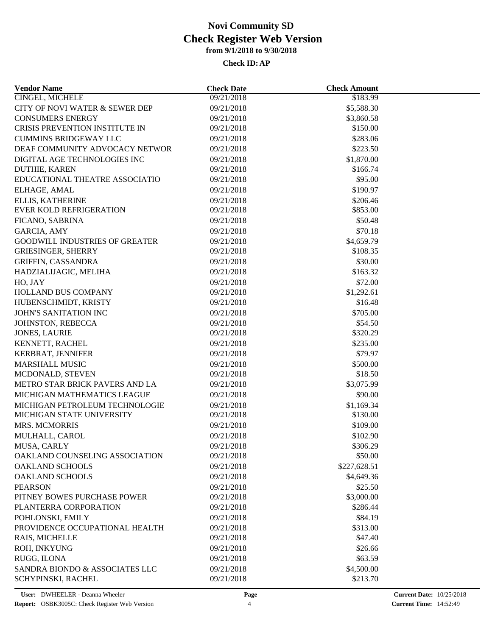| <b>Vendor Name</b>                    | <b>Check Date</b> | <b>Check Amount</b> |  |
|---------------------------------------|-------------------|---------------------|--|
| CINGEL, MICHELE                       | 09/21/2018        | \$183.99            |  |
| CITY OF NOVI WATER & SEWER DEP        | 09/21/2018        | \$5,588.30          |  |
| <b>CONSUMERS ENERGY</b>               | 09/21/2018        | \$3,860.58          |  |
| <b>CRISIS PREVENTION INSTITUTE IN</b> | 09/21/2018        | \$150.00            |  |
| <b>CUMMINS BRIDGEWAY LLC</b>          | 09/21/2018        | \$283.06            |  |
| DEAF COMMUNITY ADVOCACY NETWOR        | 09/21/2018        | \$223.50            |  |
| DIGITAL AGE TECHNOLOGIES INC          | 09/21/2018        | \$1,870.00          |  |
| DUTHIE, KAREN                         | 09/21/2018        | \$166.74            |  |
| EDUCATIONAL THEATRE ASSOCIATIO        | 09/21/2018        | \$95.00             |  |
| ELHAGE, AMAL                          | 09/21/2018        | \$190.97            |  |
| ELLIS, KATHERINE                      | 09/21/2018        | \$206.46            |  |
| <b>EVER KOLD REFRIGERATION</b>        | 09/21/2018        | \$853.00            |  |
| FICANO, SABRINA                       | 09/21/2018        | \$50.48             |  |
| GARCIA, AMY                           | 09/21/2018        | \$70.18             |  |
| <b>GOODWILL INDUSTRIES OF GREATER</b> | 09/21/2018        | \$4,659.79          |  |
| <b>GRIESINGER, SHERRY</b>             | 09/21/2018        | \$108.35            |  |
| GRIFFIN, CASSANDRA                    | 09/21/2018        | \$30.00             |  |
| HADZIALIJAGIC, MELIHA                 | 09/21/2018        | \$163.32            |  |
| HO, JAY                               | 09/21/2018        | \$72.00             |  |
| HOLLAND BUS COMPANY                   | 09/21/2018        | \$1,292.61          |  |
| HUBENSCHMIDT, KRISTY                  | 09/21/2018        | \$16.48             |  |
| <b>JOHN'S SANITATION INC</b>          | 09/21/2018        | \$705.00            |  |
| JOHNSTON, REBECCA                     | 09/21/2018        | \$54.50             |  |
| <b>JONES, LAURIE</b>                  | 09/21/2018        | \$320.29            |  |
| KENNETT, RACHEL                       | 09/21/2018        | \$235.00            |  |
|                                       |                   | \$79.97             |  |
| KERBRAT, JENNIFER                     | 09/21/2018        |                     |  |
| <b>MARSHALL MUSIC</b>                 | 09/21/2018        | \$500.00            |  |
| MCDONALD, STEVEN                      | 09/21/2018        | \$18.50             |  |
| METRO STAR BRICK PAVERS AND LA        | 09/21/2018        | \$3,075.99          |  |
| MICHIGAN MATHEMATICS LEAGUE           | 09/21/2018        | \$90.00             |  |
| MICHIGAN PETROLEUM TECHNOLOGIE        | 09/21/2018        | \$1,169.34          |  |
| MICHIGAN STATE UNIVERSITY             | 09/21/2018        | \$130.00            |  |
| <b>MRS. MCMORRIS</b>                  | 09/21/2018        | \$109.00            |  |
| MULHALL, CAROL                        | 09/21/2018        | \$102.90            |  |
| MUSA, CARLY                           | 09/21/2018        | \$306.29            |  |
| OAKLAND COUNSELING ASSOCIATION        | 09/21/2018        | \$50.00             |  |
| <b>OAKLAND SCHOOLS</b>                | 09/21/2018        | \$227,628.51        |  |
| <b>OAKLAND SCHOOLS</b>                | 09/21/2018        | \$4,649.36          |  |
| <b>PEARSON</b>                        | 09/21/2018        | \$25.50             |  |
| PITNEY BOWES PURCHASE POWER           | 09/21/2018        | \$3,000.00          |  |
| PLANTERRA CORPORATION                 | 09/21/2018        | \$286.44            |  |
| POHLONSKI, EMILY                      | 09/21/2018        | \$84.19             |  |
| PROVIDENCE OCCUPATIONAL HEALTH        | 09/21/2018        | \$313.00            |  |
| RAIS, MICHELLE                        | 09/21/2018        | \$47.40             |  |
| ROH, INKYUNG                          | 09/21/2018        | \$26.66             |  |
| RUGG, ILONA                           | 09/21/2018        | \$63.59             |  |
| SANDRA BIONDO & ASSOCIATES LLC        | 09/21/2018        | \$4,500.00          |  |
| SCHYPINSKI, RACHEL                    | 09/21/2018        | \$213.70            |  |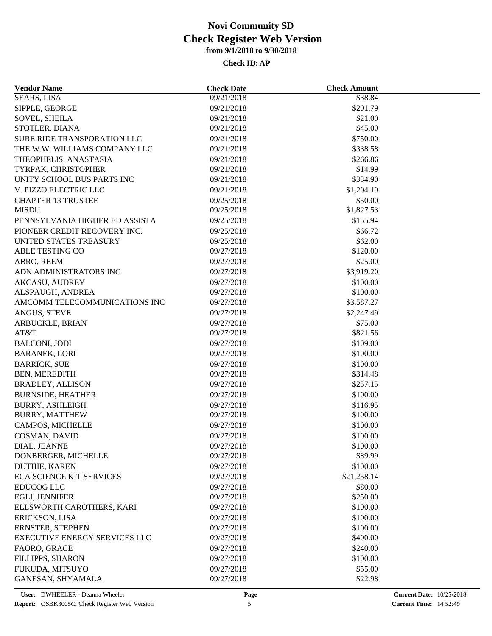| <b>Vendor Name</b>                   | <b>Check Date</b> | <b>Check Amount</b> |  |
|--------------------------------------|-------------------|---------------------|--|
| <b>SEARS, LISA</b>                   | 09/21/2018        | \$38.84             |  |
| SIPPLE, GEORGE                       | 09/21/2018        | \$201.79            |  |
| <b>SOVEL, SHEILA</b>                 | 09/21/2018        | \$21.00             |  |
| STOTLER, DIANA                       | 09/21/2018        | \$45.00             |  |
| <b>SURE RIDE TRANSPORATION LLC</b>   | 09/21/2018        | \$750.00            |  |
| THE W.W. WILLIAMS COMPANY LLC        | 09/21/2018        | \$338.58            |  |
| THEOPHELIS, ANASTASIA                | 09/21/2018        | \$266.86            |  |
| TYRPAK, CHRISTOPHER                  | 09/21/2018        | \$14.99             |  |
| UNITY SCHOOL BUS PARTS INC           | 09/21/2018        | \$334.90            |  |
| V. PIZZO ELECTRIC LLC                | 09/21/2018        | \$1,204.19          |  |
| <b>CHAPTER 13 TRUSTEE</b>            | 09/25/2018        | \$50.00             |  |
| <b>MISDU</b>                         | 09/25/2018        | \$1,827.53          |  |
| PENNSYLVANIA HIGHER ED ASSISTA       | 09/25/2018        | \$155.94            |  |
| PIONEER CREDIT RECOVERY INC.         | 09/25/2018        | \$66.72             |  |
| UNITED STATES TREASURY               | 09/25/2018        | \$62.00             |  |
| ABLE TESTING CO                      | 09/27/2018        | \$120.00            |  |
| ABRO, REEM                           | 09/27/2018        | \$25.00             |  |
| ADN ADMINISTRATORS INC               | 09/27/2018        | \$3,919.20          |  |
| <b>AKCASU, AUDREY</b>                | 09/27/2018        | \$100.00            |  |
| ALSPAUGH, ANDREA                     | 09/27/2018        | \$100.00            |  |
| AMCOMM TELECOMMUNICATIONS INC        | 09/27/2018        | \$3,587.27          |  |
| ANGUS, STEVE                         | 09/27/2018        | \$2,247.49          |  |
| ARBUCKLE, BRIAN                      | 09/27/2018        | \$75.00             |  |
| AT&T                                 | 09/27/2018        | \$821.56            |  |
| <b>BALCONI, JODI</b>                 | 09/27/2018        | \$109.00            |  |
| <b>BARANEK, LORI</b>                 | 09/27/2018        | \$100.00            |  |
| <b>BARRICK, SUE</b>                  | 09/27/2018        | \$100.00            |  |
| <b>BEN, MEREDITH</b>                 | 09/27/2018        | \$314.48            |  |
| <b>BRADLEY, ALLISON</b>              | 09/27/2018        | \$257.15            |  |
| <b>BURNSIDE, HEATHER</b>             | 09/27/2018        | \$100.00            |  |
| <b>BURRY, ASHLEIGH</b>               | 09/27/2018        | \$116.95            |  |
| <b>BURRY, MATTHEW</b>                | 09/27/2018        | \$100.00            |  |
| CAMPOS, MICHELLE                     | 09/27/2018        | \$100.00            |  |
| COSMAN, DAVID                        | 09/27/2018        | \$100.00            |  |
| DIAL, JEANNE                         | 09/27/2018        | \$100.00            |  |
| DONBERGER, MICHELLE                  | 09/27/2018        | \$89.99             |  |
| DUTHIE, KAREN                        | 09/27/2018        | \$100.00            |  |
| <b>ECA SCIENCE KIT SERVICES</b>      | 09/27/2018        | \$21,258.14         |  |
| <b>EDUCOG LLC</b>                    | 09/27/2018        | \$80.00             |  |
| EGLI, JENNIFER                       | 09/27/2018        | \$250.00            |  |
| ELLSWORTH CAROTHERS, KARI            | 09/27/2018        | \$100.00            |  |
|                                      |                   | \$100.00            |  |
| ERICKSON, LISA                       | 09/27/2018        |                     |  |
| ERNSTER, STEPHEN                     | 09/27/2018        | \$100.00            |  |
| <b>EXECUTIVE ENERGY SERVICES LLC</b> | 09/27/2018        | \$400.00            |  |
| FAORO, GRACE                         | 09/27/2018        | \$240.00            |  |
| <b>FILLIPPS, SHARON</b>              | 09/27/2018        | \$100.00            |  |
| FUKUDA, MITSUYO                      | 09/27/2018        | \$55.00             |  |
| GANESAN, SHYAMALA                    | 09/27/2018        | \$22.98             |  |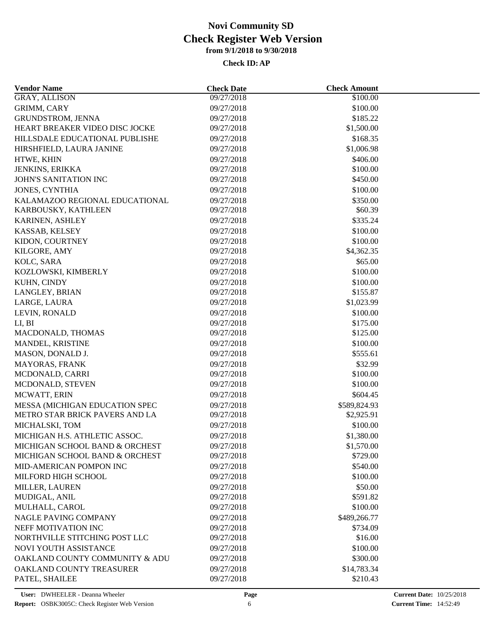| <b>Vendor Name</b>                                               | <b>Check Date</b> | <b>Check Amount</b>    |  |
|------------------------------------------------------------------|-------------------|------------------------|--|
| <b>GRAY, ALLISON</b>                                             | 09/27/2018        | \$100.00               |  |
| GRIMM, CARY                                                      | 09/27/2018        | \$100.00               |  |
| GRUNDSTROM, JENNA                                                | 09/27/2018        | \$185.22               |  |
| HEART BREAKER VIDEO DISC JOCKE                                   | 09/27/2018        | \$1,500.00             |  |
| HILLSDALE EDUCATIONAL PUBLISHE                                   | 09/27/2018        | \$168.35               |  |
| HIRSHFIELD, LAURA JANINE                                         | 09/27/2018        | \$1,006.98             |  |
| HTWE, KHIN                                                       | 09/27/2018        | \$406.00               |  |
| JENKINS, ERIKKA                                                  | 09/27/2018        | \$100.00               |  |
| <b>JOHN'S SANITATION INC</b>                                     | 09/27/2018        | \$450.00               |  |
| <b>JONES, CYNTHIA</b>                                            | 09/27/2018        | \$100.00               |  |
| KALAMAZOO REGIONAL EDUCATIONAL                                   | 09/27/2018        | \$350.00               |  |
| KARBOUSKY, KATHLEEN                                              | 09/27/2018        | \$60.39                |  |
| KARINEN, ASHLEY                                                  | 09/27/2018        | \$335.24               |  |
| KASSAB, KELSEY                                                   | 09/27/2018        | \$100.00               |  |
| KIDON, COURTNEY                                                  | 09/27/2018        | \$100.00               |  |
| KILGORE, AMY                                                     | 09/27/2018        | \$4,362.35             |  |
| KOLC, SARA                                                       | 09/27/2018        | \$65.00                |  |
| KOZLOWSKI, KIMBERLY                                              | 09/27/2018        | \$100.00               |  |
| KUHN, CINDY                                                      | 09/27/2018        | \$100.00               |  |
| LANGLEY, BRIAN                                                   | 09/27/2018        | \$155.87               |  |
| LARGE, LAURA                                                     | 09/27/2018        | \$1,023.99             |  |
| LEVIN, RONALD                                                    | 09/27/2018        | \$100.00               |  |
| LI, BI                                                           | 09/27/2018        | \$175.00               |  |
| MACDONALD, THOMAS                                                | 09/27/2018        | \$125.00               |  |
| MANDEL, KRISTINE                                                 | 09/27/2018        | \$100.00               |  |
| MASON, DONALD J.                                                 | 09/27/2018        | \$555.61               |  |
| MAYORAS, FRANK                                                   | 09/27/2018        | \$32.99                |  |
| MCDONALD, CARRI                                                  | 09/27/2018        | \$100.00               |  |
| MCDONALD, STEVEN                                                 | 09/27/2018        | \$100.00               |  |
|                                                                  |                   |                        |  |
| MCWATT, ERIN                                                     | 09/27/2018        | \$604.45               |  |
| MESSA (MICHIGAN EDUCATION SPEC<br>METRO STAR BRICK PAVERS AND LA | 09/27/2018        | \$589,824.93           |  |
|                                                                  | 09/27/2018        | \$2,925.91<br>\$100.00 |  |
| MICHALSKI, TOM                                                   | 09/27/2018        |                        |  |
| MICHIGAN H.S. ATHLETIC ASSOC.                                    | 09/27/2018        | \$1,380.00             |  |
| MICHIGAN SCHOOL BAND & ORCHEST                                   | 09/27/2018        | \$1,570.00             |  |
| MICHIGAN SCHOOL BAND & ORCHEST                                   | 09/27/2018        | \$729.00               |  |
| MID-AMERICAN POMPON INC                                          | 09/27/2018        | \$540.00               |  |
| MILFORD HIGH SCHOOL                                              | 09/27/2018        | \$100.00               |  |
| MILLER, LAUREN                                                   | 09/27/2018        | \$50.00                |  |
| MUDIGAL, ANIL                                                    | 09/27/2018        | \$591.82               |  |
| MULHALL, CAROL                                                   | 09/27/2018        | \$100.00               |  |
| NAGLE PAVING COMPANY                                             | 09/27/2018        | \$489,266.77           |  |
| NEFF MOTIVATION INC                                              | 09/27/2018        | \$734.09               |  |
| NORTHVILLE STITCHING POST LLC                                    | 09/27/2018        | \$16.00                |  |
| NOVI YOUTH ASSISTANCE                                            | 09/27/2018        | \$100.00               |  |
| OAKLAND COUNTY COMMUNITY & ADU                                   | 09/27/2018        | \$300.00               |  |
| OAKLAND COUNTY TREASURER                                         | 09/27/2018        | \$14,783.34            |  |
| PATEL, SHAILEE                                                   | 09/27/2018        | \$210.43               |  |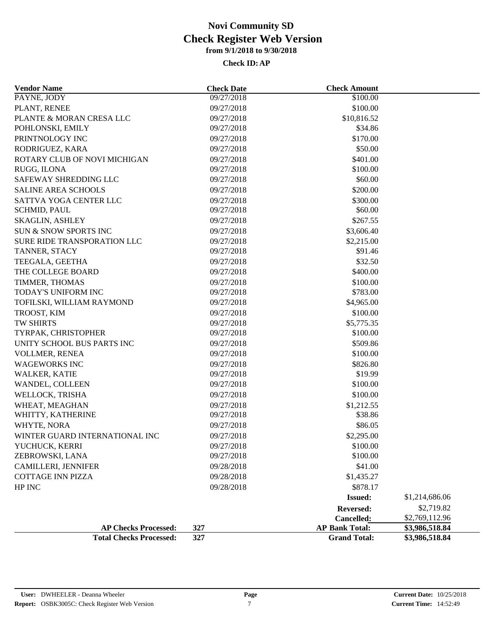| <b>Vendor Name</b>             | <b>Check Date</b> | <b>Check Amount</b>   |                |
|--------------------------------|-------------------|-----------------------|----------------|
| PAYNE, JODY                    | 09/27/2018        | \$100.00              |                |
| PLANT, RENEE                   | 09/27/2018        | \$100.00              |                |
| PLANTE & MORAN CRESA LLC       | 09/27/2018        | \$10,816.52           |                |
| POHLONSKI, EMILY               | 09/27/2018        | \$34.86               |                |
| PRINTNOLOGY INC                | 09/27/2018        | \$170.00              |                |
| RODRIGUEZ, KARA                | 09/27/2018        | \$50.00               |                |
| ROTARY CLUB OF NOVI MICHIGAN   | 09/27/2018        | \$401.00              |                |
| RUGG, ILONA                    | 09/27/2018        | \$100.00              |                |
| SAFEWAY SHREDDING LLC          | 09/27/2018        | \$60.00               |                |
| <b>SALINE AREA SCHOOLS</b>     | 09/27/2018        | \$200.00              |                |
| SATTVA YOGA CENTER LLC         | 09/27/2018        | \$300.00              |                |
| SCHMID, PAUL                   | 09/27/2018        | \$60.00               |                |
| <b>SKAGLIN, ASHLEY</b>         | 09/27/2018        | \$267.55              |                |
| SUN & SNOW SPORTS INC          | 09/27/2018        | \$3,606.40            |                |
| SURE RIDE TRANSPORATION LLC    | 09/27/2018        | \$2,215.00            |                |
| TANNER, STACY                  | 09/27/2018        | \$91.46               |                |
| TEEGALA, GEETHA                | 09/27/2018        | \$32.50               |                |
| THE COLLEGE BOARD              | 09/27/2018        | \$400.00              |                |
| TIMMER, THOMAS                 | 09/27/2018        | \$100.00              |                |
| TODAY'S UNIFORM INC            | 09/27/2018        | \$783.00              |                |
| TOFILSKI, WILLIAM RAYMOND      | 09/27/2018        | \$4,965.00            |                |
| TROOST, KIM                    | 09/27/2018        | \$100.00              |                |
| TW SHIRTS                      | 09/27/2018        | \$5,775.35            |                |
| TYRPAK, CHRISTOPHER            | 09/27/2018        | \$100.00              |                |
| UNITY SCHOOL BUS PARTS INC     | 09/27/2018        | \$509.86              |                |
| VOLLMER, RENEA                 | 09/27/2018        | \$100.00              |                |
| <b>WAGEWORKS INC</b>           | 09/27/2018        | \$826.80              |                |
| <b>WALKER, KATIE</b>           | 09/27/2018        | \$19.99               |                |
| WANDEL, COLLEEN                | 09/27/2018        | \$100.00              |                |
| WELLOCK, TRISHA                | 09/27/2018        | \$100.00              |                |
| WHEAT, MEAGHAN                 | 09/27/2018        | \$1,212.55            |                |
| WHITTY, KATHERINE              | 09/27/2018        | \$38.86               |                |
| WHYTE, NORA                    | 09/27/2018        | \$86.05               |                |
| WINTER GUARD INTERNATIONAL INC | 09/27/2018        | \$2,295.00            |                |
| YUCHUCK, KERRI                 | 09/27/2018        | \$100.00              |                |
| ZEBROWSKI, LANA                | 09/27/2018        | \$100.00              |                |
| CAMILLERI, JENNIFER            | 09/28/2018        | \$41.00               |                |
| <b>COTTAGE INN PIZZA</b>       | 09/28/2018        | \$1,435.27            |                |
| HP INC                         | 09/28/2018        | \$878.17              |                |
|                                |                   | <b>Issued:</b>        | \$1,214,686.06 |
|                                |                   | Reversed:             | \$2,719.82     |
|                                |                   | Cancelled:            | \$2,769,112.96 |
| <b>AP Checks Processed:</b>    | 327               | <b>AP Bank Total:</b> | \$3,986,518.84 |
| <b>Total Checks Processed:</b> | 327               | <b>Grand Total:</b>   | \$3,986,518.84 |